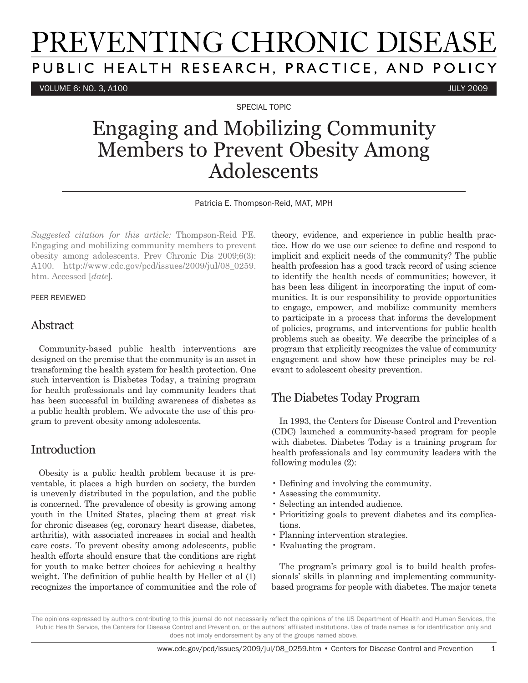# PREVENTING CHRONIC DISEASE PUBLIC HEALTH RESEARCH, PRACTICE, AND POLICY

VOLUME 6: NO. 3, A100 JULY 2009

SPECIAL TOPIC

## Engaging and Mobilizing Community Members to Prevent Obesity Among Adolescents

Patricia E. Thompson-Reid, MAT, MPH

*Suggested citation for this article:* Thompson-Reid PE. Engaging and mobilizing community members to prevent obesity among adolescents. Prev Chronic Dis 2009;6(3): A100. http://www.cdc.gov/pcd/issues/2009/jul/08\_0259. htm. Accessed [*date*]*.*

#### PEER REVIEWED

#### Abstract

Community-based public health interventions are designed on the premise that the community is an asset in transforming the health system for health protection. One such intervention is Diabetes Today, a training program for health professionals and lay community leaders that has been successful in building awareness of diabetes as a public health problem. We advocate the use of this program to prevent obesity among adolescents.

#### Introduction

Obesity is a public health problem because it is preventable, it places a high burden on society, the burden is unevenly distributed in the population, and the public is concerned. The prevalence of obesity is growing among youth in the United States, placing them at great risk for chronic diseases (eg, coronary heart disease, diabetes, arthritis), with associated increases in social and health care costs. To prevent obesity among adolescents, public health efforts should ensure that the conditions are right for youth to make better choices for achieving a healthy weight. The definition of public health by Heller et al (1) recognizes the importance of communities and the role of theory, evidence, and experience in public health practice. How do we use our science to define and respond to implicit and explicit needs of the community? The public health profession has a good track record of using science to identify the health needs of communities; however, it has been less diligent in incorporating the input of communities. It is our responsibility to provide opportunities to engage, empower, and mobilize community members to participate in a process that informs the development of policies, programs, and interventions for public health problems such as obesity. We describe the principles of a program that explicitly recognizes the value of community engagement and show how these principles may be relevant to adolescent obesity prevention.

#### The Diabetes Today Program

In 1993, the Centers for Disease Control and Prevention (CDC) launched a community-based program for people with diabetes. Diabetes Today is a training program for health professionals and lay community leaders with the following modules (2):

- Defining and involving the community.
- Assessing the community.
- Selecting an intended audience.
- Prioritizing goals to prevent diabetes and its complications.
- Planning intervention strategies.
- Evaluating the program.

The program's primary goal is to build health professionals' skills in planning and implementing communitybased programs for people with diabetes. The major tenets

The opinions expressed by authors contributing to this journal do not necessarily reflect the opinions of the US Department of Health and Human Services, the Public Health Service, the Centers for Disease Control and Prevention, or the authors' affiliated institutions. Use of trade names is for identification only and does not imply endorsement by any of the groups named above.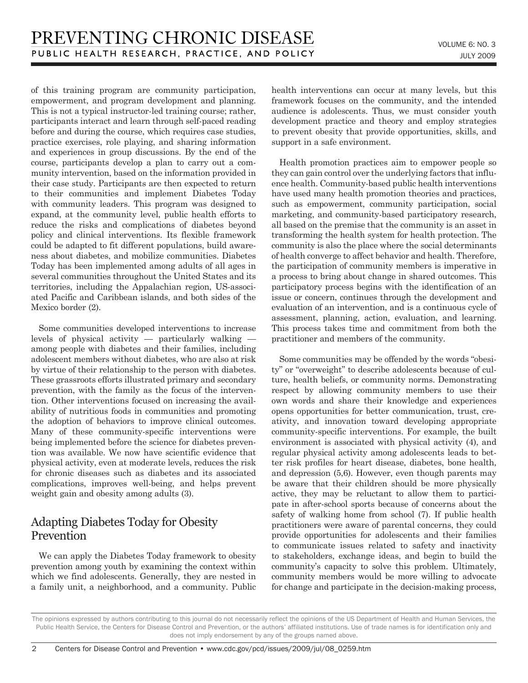of this training program are community participation, empowerment, and program development and planning. This is not a typical instructor-led training course; rather, participants interact and learn through self-paced reading before and during the course, which requires case studies, practice exercises, role playing, and sharing information and experiences in group discussions. By the end of the course, participants develop a plan to carry out a community intervention, based on the information provided in their case study. Participants are then expected to return to their communities and implement Diabetes Today with community leaders. This program was designed to expand, at the community level, public health efforts to reduce the risks and complications of diabetes beyond policy and clinical interventions. Its flexible framework could be adapted to fit different populations, build awareness about diabetes, and mobilize communities. Diabetes Today has been implemented among adults of all ages in several communities throughout the United States and its territories, including the Appalachian region, US-associated Pacific and Caribbean islands, and both sides of the Mexico border (2).

Some communities developed interventions to increase levels of physical activity — particularly walking among people with diabetes and their families, including adolescent members without diabetes, who are also at risk by virtue of their relationship to the person with diabetes. These grassroots efforts illustrated primary and secondary prevention, with the family as the focus of the intervention. Other interventions focused on increasing the availability of nutritious foods in communities and promoting the adoption of behaviors to improve clinical outcomes. Many of these community-specific interventions were being implemented before the science for diabetes prevention was available. We now have scientific evidence that physical activity, even at moderate levels, reduces the risk for chronic diseases such as diabetes and its associated complications, improves well-being, and helps prevent weight gain and obesity among adults (3).

#### Adapting Diabetes Today for Obesity Prevention

We can apply the Diabetes Today framework to obesity prevention among youth by examining the context within which we find adolescents. Generally, they are nested in a family unit, a neighborhood, and a community. Public health interventions can occur at many levels, but this framework focuses on the community, and the intended audience is adolescents. Thus, we must consider youth development practice and theory and employ strategies to prevent obesity that provide opportunities, skills, and support in a safe environment.

Health promotion practices aim to empower people so they can gain control over the underlying factors that influence health. Community-based public health interventions have used many health promotion theories and practices, such as empowerment, community participation, social marketing, and community-based participatory research, all based on the premise that the community is an asset in transforming the health system for health protection. The community is also the place where the social determinants of health converge to affect behavior and health. Therefore, the participation of community members is imperative in a process to bring about change in shared outcomes. This participatory process begins with the identification of an issue or concern, continues through the development and evaluation of an intervention, and is a continuous cycle of assessment, planning, action, evaluation, and learning. This process takes time and commitment from both the practitioner and members of the community.

Some communities may be offended by the words "obesity" or "overweight" to describe adolescents because of culture, health beliefs, or community norms. Demonstrating respect by allowing community members to use their own words and share their knowledge and experiences opens opportunities for better communication, trust, creativity, and innovation toward developing appropriate community-specific interventions. For example, the built environment is associated with physical activity (4), and regular physical activity among adolescents leads to better risk profiles for heart disease, diabetes, bone health, and depression (5,6). However, even though parents may be aware that their children should be more physically active, they may be reluctant to allow them to participate in after-school sports because of concerns about the safety of walking home from school (7). If public health practitioners were aware of parental concerns, they could provide opportunities for adolescents and their families to communicate issues related to safety and inactivity to stakeholders, exchange ideas, and begin to build the community's capacity to solve this problem. Ultimately, community members would be more willing to advocate for change and participate in the decision-making process,

The opinions expressed by authors contributing to this journal do not necessarily reflect the opinions of the US Department of Health and Human Services, the Public Health Service, the Centers for Disease Control and Prevention, or the authors' affiliated institutions. Use of trade names is for identification only and does not imply endorsement by any of the groups named above.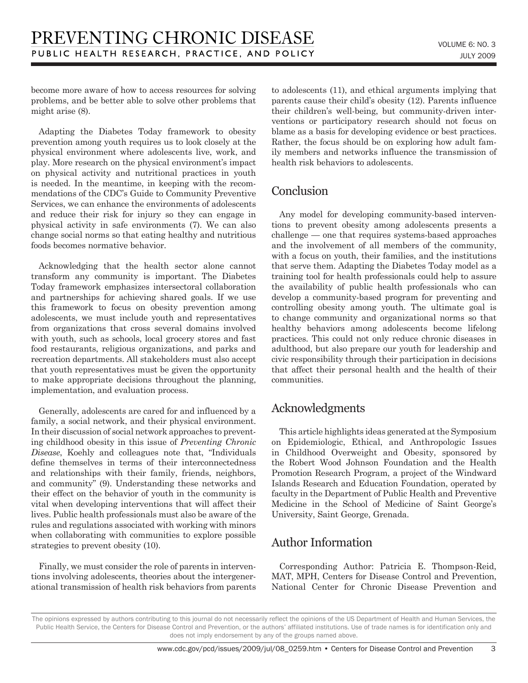become more aware of how to access resources for solving problems, and be better able to solve other problems that might arise (8).

Adapting the Diabetes Today framework to obesity prevention among youth requires us to look closely at the physical environment where adolescents live, work, and play. More research on the physical environment's impact on physical activity and nutritional practices in youth is needed. In the meantime, in keeping with the recommendations of the CDC's Guide to Community Preventive Services, we can enhance the environments of adolescents and reduce their risk for injury so they can engage in physical activity in safe environments (7). We can also change social norms so that eating healthy and nutritious foods becomes normative behavior.

Acknowledging that the health sector alone cannot transform any community is important. The Diabetes Today framework emphasizes intersectoral collaboration and partnerships for achieving shared goals. If we use this framework to focus on obesity prevention among adolescents, we must include youth and representatives from organizations that cross several domains involved with youth, such as schools, local grocery stores and fast food restaurants, religious organizations, and parks and recreation departments. All stakeholders must also accept that youth representatives must be given the opportunity to make appropriate decisions throughout the planning, implementation, and evaluation process.

Generally, adolescents are cared for and influenced by a family, a social network, and their physical environment. In their discussion of social network approaches to preventing childhood obesity in this issue of *Preventing Chronic Disease*, Koehly and colleagues note that, "Individuals define themselves in terms of their interconnectedness and relationships with their family, friends, neighbors, and community" (9). Understanding these networks and their effect on the behavior of youth in the community is vital when developing interventions that will affect their lives. Public health professionals must also be aware of the rules and regulations associated with working with minors when collaborating with communities to explore possible strategies to prevent obesity (10).

Finally, we must consider the role of parents in interventions involving adolescents, theories about the intergenerational transmission of health risk behaviors from parents to adolescents (11), and ethical arguments implying that parents cause their child's obesity (12). Parents influence their children's well-being, but community-driven interventions or participatory research should not focus on blame as a basis for developing evidence or best practices. Rather, the focus should be on exploring how adult family members and networks influence the transmission of health risk behaviors to adolescents.

#### Conclusion

Any model for developing community-based interventions to prevent obesity among adolescents presents a challenge — one that requires systems-based approaches and the involvement of all members of the community, with a focus on youth, their families, and the institutions that serve them. Adapting the Diabetes Today model as a training tool for health professionals could help to assure the availability of public health professionals who can develop a community-based program for preventing and controlling obesity among youth. The ultimate goal is to change community and organizational norms so that healthy behaviors among adolescents become lifelong practices. This could not only reduce chronic diseases in adulthood, but also prepare our youth for leadership and civic responsibility through their participation in decisions that affect their personal health and the health of their communities.

### Acknowledgments

This article highlights ideas generated at the Symposium on Epidemiologic, Ethical, and Anthropologic Issues in Childhood Overweight and Obesity, sponsored by the Robert Wood Johnson Foundation and the Health Promotion Research Program, a project of the Windward Islands Research and Education Foundation, operated by faculty in the Department of Public Health and Preventive Medicine in the School of Medicine of Saint George's University, Saint George, Grenada.

#### Author Information

Corresponding Author: Patricia E. Thompson-Reid, MAT, MPH, Centers for Disease Control and Prevention, National Center for Chronic Disease Prevention and

The opinions expressed by authors contributing to this journal do not necessarily reflect the opinions of the US Department of Health and Human Services, the Public Health Service, the Centers for Disease Control and Prevention, or the authors' affiliated institutions. Use of trade names is for identification only and does not imply endorsement by any of the groups named above.